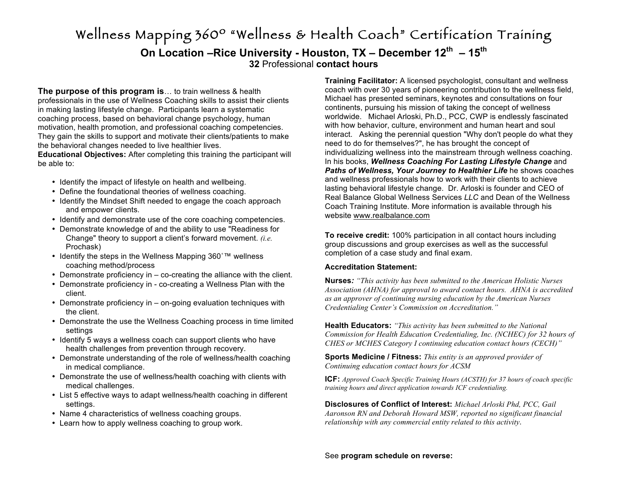# Wellness Mapping 360º "Wellness & Health Coach" Certification Training **On Location –Rice University - Houston, TX – December 12th – 15th 32** Professional **contact hours**

**The purpose of this program is**… to train wellness & health professionals in the use of Wellness Coaching skills to assist their clients in making lasting lifestyle change. Participants learn a systematic coaching process, based on behavioral change psychology, human motivation, health promotion, and professional coaching competencies. They gain the skills to support and motivate their clients/patients to make the behavioral changes needed to live healthier lives.

**Educational Objectives:** After completing this training the participant will be able to:

- Identify the impact of lifestyle on health and wellbeing.
- Define the foundational theories of wellness coaching.
- Identify the Mindset Shift needed to engage the coach approach and empower clients.
- Identify and demonstrate use of the core coaching competencies.
- Demonstrate knowledge of and the ability to use "Readiness for Change" theory to support a client's forward movement. *(i.e.* Prochask)
- Identify the steps in the Wellness Mapping 360˚™ wellness coaching method/process
- Demonstrate proficiency in co-creating the alliance with the client.
- Demonstrate proficiency in co-creating a Wellness Plan with the client.
- Demonstrate proficiency in on-going evaluation techniques with the client.
- Demonstrate the use the Wellness Coaching process in time limited settings
- Identify 5 ways a wellness coach can support clients who have health challenges from prevention through recovery.
- Demonstrate understanding of the role of wellness/health coaching in medical compliance.
- Demonstrate the use of wellness/health coaching with clients with medical challenges.
- List 5 effective ways to adapt wellness/health coaching in different settings.
- Name 4 characteristics of wellness coaching groups.
- Learn how to apply wellness coaching to group work.

**Training Facilitator:** A licensed psychologist, consultant and wellness coach with over 30 years of pioneering contribution to the wellness field, Michael has presented seminars, keynotes and consultations on four continents, pursuing his mission of taking the concept of wellness worldwide. Michael Arloski, Ph.D., PCC, CWP is endlessly fascinated with how behavior, culture, environment and human heart and soul interact. Asking the perennial question "Why don't people do what they need to do for themselves?", he has brought the concept of individualizing wellness into the mainstream through wellness coaching. In his books, *Wellness Coaching For Lasting Lifestyle Change* and *Paths of Wellness, Your Journey to Healthier Life* he shows coaches and wellness professionals how to work with their clients to achieve lasting behavioral lifestyle change. Dr. Arloski is founder and CEO of Real Balance Global Wellness Services *LLC* and Dean of the Wellness Coach Training Institute. More information is available through his website www.realbalance.com

**To receive credit:** 100% participation in all contact hours including group discussions and group exercises as well as the successful completion of a case study and final exam.

# **Accreditation Statement:**

**Nurses***: "This activity has been submitted to the American Holistic Nurses Association (AHNA) for approval to award contact hours. AHNA is accredited as an approver of continuing nursing education by the American Nurses Credentialing Center's Commission on Accreditation."*

**Health Educators:** *"This activity has been submitted to the National Commission for Health Education Credentialing, Inc. (NCHEC) for 32 hours of CHES or MCHES Category I continuing education contact hours (CECH)"*

**Sports Medicine / Fitness:** *This entity is an approved provider of Continuing education contact hours for ACSM*

**ICF:** *Approved Coach Specific Training Hours (ACSTH) for 37 hours of coach specific training hours and direct application towards ICF credentialing.* 

**Disclosures of Conflict of Interest:** *Michael Arloski Phd, PCC, Gail Aaronson RN and Deborah Howard MSW, reported no significant financial relationship with any commercial entity related to this activity*.